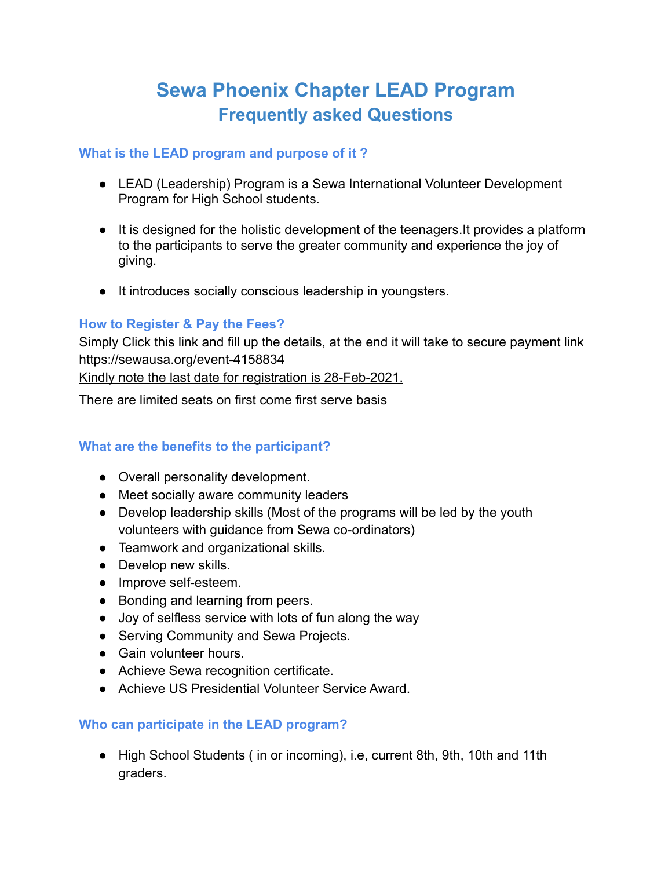# **Sewa Phoenix Chapter LEAD Program Frequently asked Questions**

## **What is the LEAD program and purpose of it ?**

- LEAD (Leadership) Program is a Sewa International Volunteer Development Program for High School students.
- It is designed for the holistic development of the teenagers.It provides a platform to the participants to serve the greater community and experience the joy of giving.
- It introduces socially conscious leadership in youngsters.

## **How to Register & Pay the Fees?**

Simply Click this link and fill up the details, at the end it will take to secure payment link <https://sewausa.org/event-4158834>

Kindly note the last date for registration is 28-Feb-2021.

There are limited seats on first come first serve basis

## **What are the benefits to the participant?**

- Overall personality development.
- Meet socially aware community leaders
- Develop leadership skills (Most of the programs will be led by the youth volunteers with guidance from Sewa co-ordinators)
- Teamwork and organizational skills.
- Develop new skills.
- Improve self-esteem.
- Bonding and learning from peers.
- Joy of selfless service with lots of fun along the way
- Serving Community and Sewa Projects.
- Gain volunteer hours.
- Achieve Sewa recognition certificate.
- Achieve US Presidential Volunteer Service Award.

## **Who can participate in the LEAD program?**

● High School Students ( in or incoming), i.e, current 8th, 9th, 10th and 11th graders.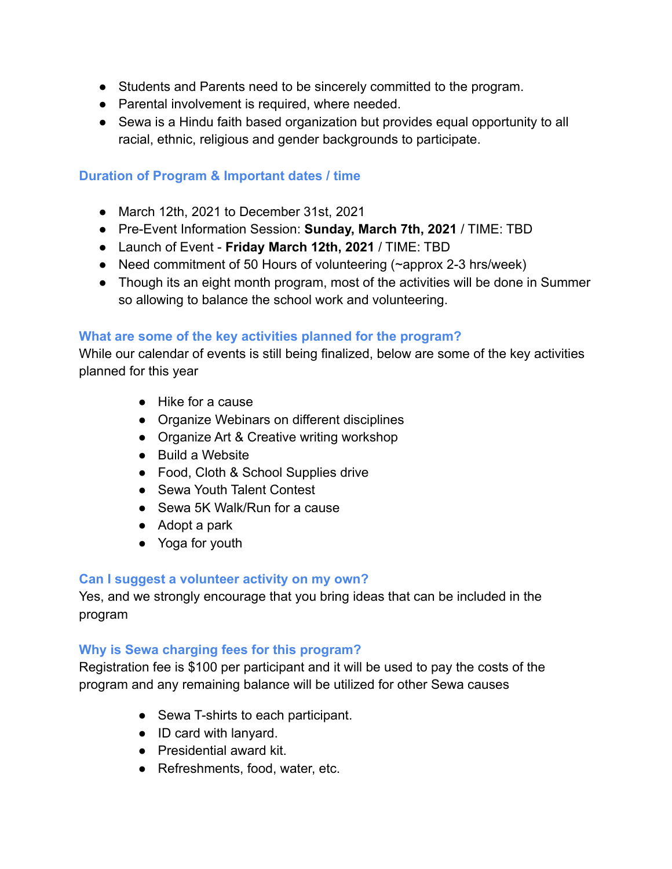- Students and Parents need to be sincerely committed to the program.
- Parental involvement is required, where needed.
- Sewa is a Hindu faith based organization but provides equal opportunity to all racial, ethnic, religious and gender backgrounds to participate.

## **Duration of Program & Important dates / time**

- March 12th, 2021 to December 31st, 2021
- Pre-Event Information Session: **Sunday, March 7th, 2021** / TIME: TBD
- Launch of Event **Friday March 12th, 2021** / TIME: TBD
- Need commitment of 50 Hours of volunteering (~approx 2-3 hrs/week)
- Though its an eight month program, most of the activities will be done in Summer so allowing to balance the school work and volunteering.

## **What are some of the key activities planned for the program?**

While our calendar of events is still being finalized, below are some of the key activities planned for this year

- Hike for a cause
- Organize Webinars on different disciplines
- Organize Art & Creative writing workshop
- Build a Website
- Food, Cloth & School Supplies drive
- Sewa Youth Talent Contest
- Sewa 5K Walk/Run for a cause
- Adopt a park
- Yoga for youth

## **Can I suggest a volunteer activity on my own?**

Yes, and we strongly encourage that you bring ideas that can be included in the program

## **Why is Sewa charging fees for this program?**

Registration fee is \$100 per participant and it will be used to pay the costs of the program and any remaining balance will be utilized for other Sewa causes

- Sewa T-shirts to each participant.
- ID card with lanyard.
- Presidential award kit.
- Refreshments, food, water, etc.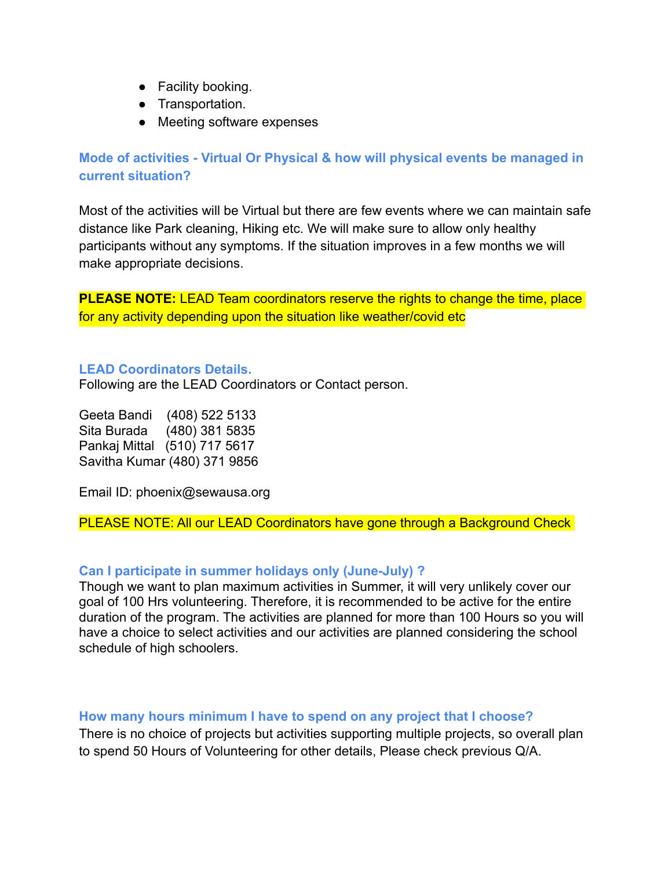- Facility booking.
- Transportation.
- Meeting software expenses

**Mode of activities - Virtual Or Physical & how will physical events be managed in current situation?**

Most of the activities will be Virtual but there are few events where we can maintain safe distance like Park cleaning, Hiking etc. We will make sure to allow only healthy participants without any symptoms. If the situation improves in a few months we will make appropriate decisions.

**PLEASE NOTE:** LEAD Team coordinators reserve the rights to change the time, place for any activity depending upon the situation like weather/covid etc

#### **LEAD Coordinators Details.**

Following are the LEAD Coordinators or Contact person.

Geeta Bandi (408) 522 5133 Sita Burada (480) 381 5835 Pankaj Mittal (510) 717 5617 Savitha Kumar (480) 371 9856

Email ID: phoenix@sewausa.org

PLEASE NOTE: All our LEAD Coordinators have gone through a Background Check

#### **Can I participate in summer holidays only (June-July) ?**

Though we want to plan maximum activities in Summer, it will very unlikely cover our goal of 100 Hrs volunteering. Therefore, it is recommended to be active for the entire duration of the program. The activities are planned for more than 100 Hours so you will have a choice to select activities and our activities are planned considering the school schedule of high schoolers.

#### **How many hours minimum I have to spend on any project that I choose?**

There is no choice of projects but activities supporting multiple projects, so overall plan to spend 50 Hours of Volunteering for other details, Please check previous Q/A.